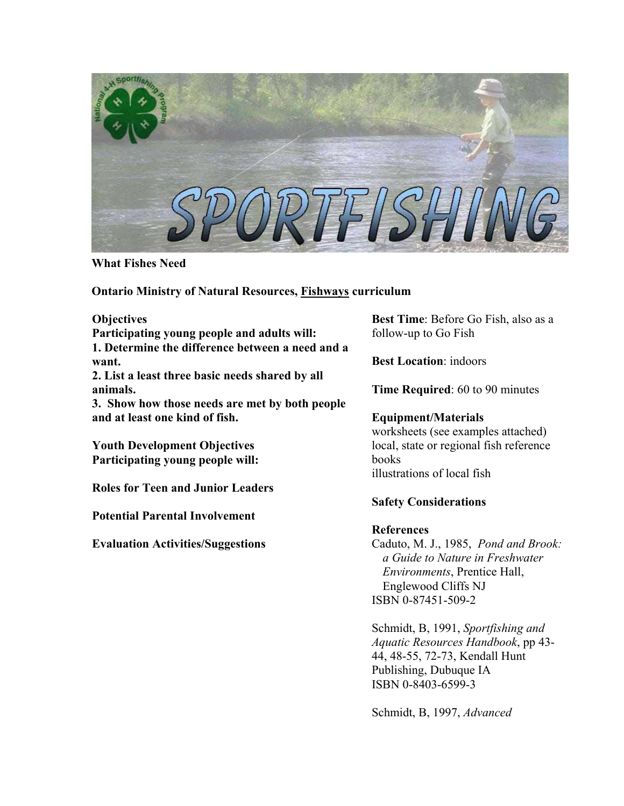

**What Fishes Need** 

**Ontario Ministry of Natural Resources, Fishways curriculum** 

**Objectives** 

**Participating young people and adults will: 1. Determine the difference between a need and a want.**

**2. List a least three basic needs shared by all animals.** 

**3. Show how those needs are met by both people and at least one kind of fish.** 

**Youth Development Objectives Participating young people will:** 

**Roles for Teen and Junior Leaders** 

**Potential Parental Involvement** 

**Evaluation Activities/Suggestions** 

**Best Time**: Before Go Fish, also as a follow-up to Go Fish

**Best Location**: indoors

**Time Required**: 60 to 90 minutes

# **Equipment/Materials**

worksheets (see examples attached) local, state or regional fish reference books illustrations of local fish

# **Safety Considerations**

# **References**

Caduto, M. J., 1985, *Pond and Brook: a Guide to Nature in Freshwater Environments*, Prentice Hall, Englewood Cliffs NJ ISBN 0-87451-509-2

Schmidt, B, 1991, *Sportfishing and Aquatic Resources Handbook*, pp 43- 44, 48-55, 72-73, Kendall Hunt Publishing, Dubuque IA ISBN 0-8403-6599-3

Schmidt, B, 1997, *Advanced*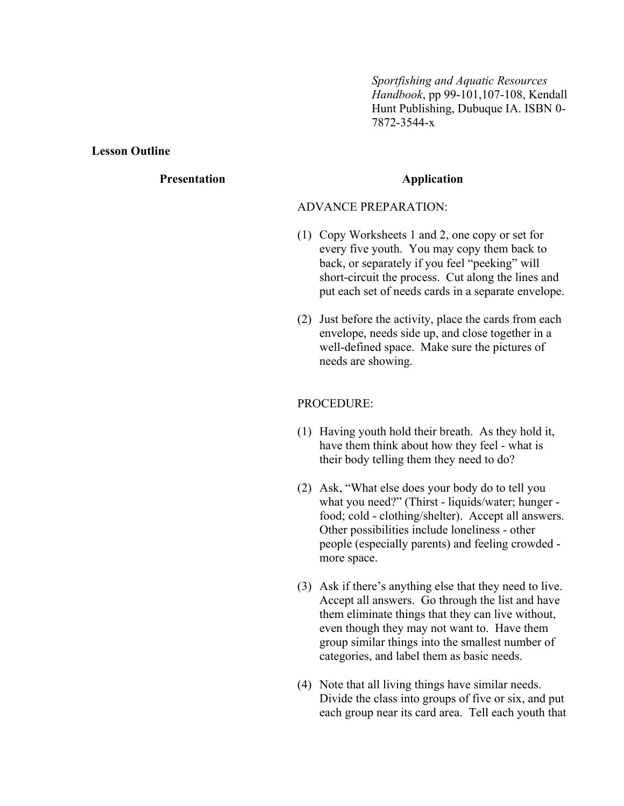*Sportfishing and Aquatic Resources Handbook*, pp 99-101,107-108, Kendall Hunt Publishing, Dubuque IA. ISBN 0- 7872-3544-x

#### **Lesson Outline**

# **Presentation Application**

#### ADVANCE PREPARATION:

- (1) Copy Worksheets 1 and 2, one copy or set for every five youth. You may copy them back to back, or separately if you feel "peeking" will short-circuit the process. Cut along the lines and put each set of needs cards in a separate envelope.
- (2) Just before the activity, place the cards from each envelope, needs side up, and close together in a well-defined space. Make sure the pictures of needs are showing.

#### PROCEDURE:

- (1) Having youth hold their breath. As they hold it, have them think about how they feel - what is their body telling them they need to do?
- (2) Ask, "What else does your body do to tell you what you need?" (Thirst - liquids/water; hunger food; cold - clothing/shelter). Accept all answers. Other possibilities include loneliness - other people (especially parents) and feeling crowded more space.
- (3) Ask if there's anything else that they need to live. Accept all answers. Go through the list and have them eliminate things that they can live without, even though they may not want to. Have them group similar things into the smallest number of categories, and label them as basic needs.
- (4) Note that all living things have similar needs. Divide the class into groups of five or six, and put each group near its card area. Tell each youth that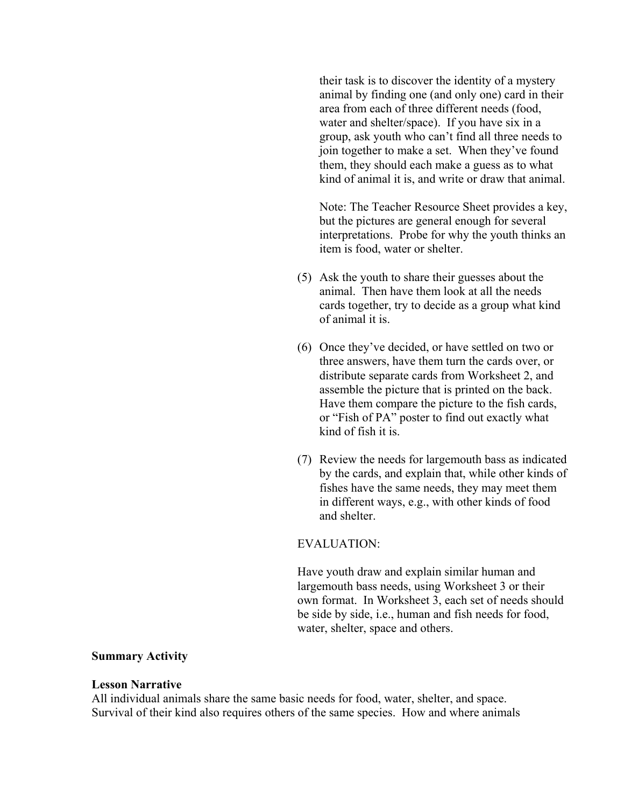their task is to discover the identity of a mystery animal by finding one (and only one) card in their area from each of three different needs (food, water and shelter/space). If you have six in a group, ask youth who can't find all three needs to join together to make a set. When they've found them, they should each make a guess as to what kind of animal it is, and write or draw that animal.

Note: The Teacher Resource Sheet provides a key, but the pictures are general enough for several interpretations. Probe for why the youth thinks an item is food, water or shelter.

- (5) Ask the youth to share their guesses about the animal. Then have them look at all the needs cards together, try to decide as a group what kind of animal it is.
- (6) Once they've decided, or have settled on two or three answers, have them turn the cards over, or distribute separate cards from Worksheet 2, and assemble the picture that is printed on the back. Have them compare the picture to the fish cards, or "Fish of PA" poster to find out exactly what kind of fish it is.
- (7) Review the needs for largemouth bass as indicated by the cards, and explain that, while other kinds of fishes have the same needs, they may meet them in different ways, e.g., with other kinds of food and shelter.

#### EVALUATION:

Have youth draw and explain similar human and largemouth bass needs, using Worksheet 3 or their own format. In Worksheet 3, each set of needs should be side by side, i.e., human and fish needs for food, water, shelter, space and others.

### **Summary Activity**

#### **Lesson Narrative**

All individual animals share the same basic needs for food, water, shelter, and space. Survival of their kind also requires others of the same species. How and where animals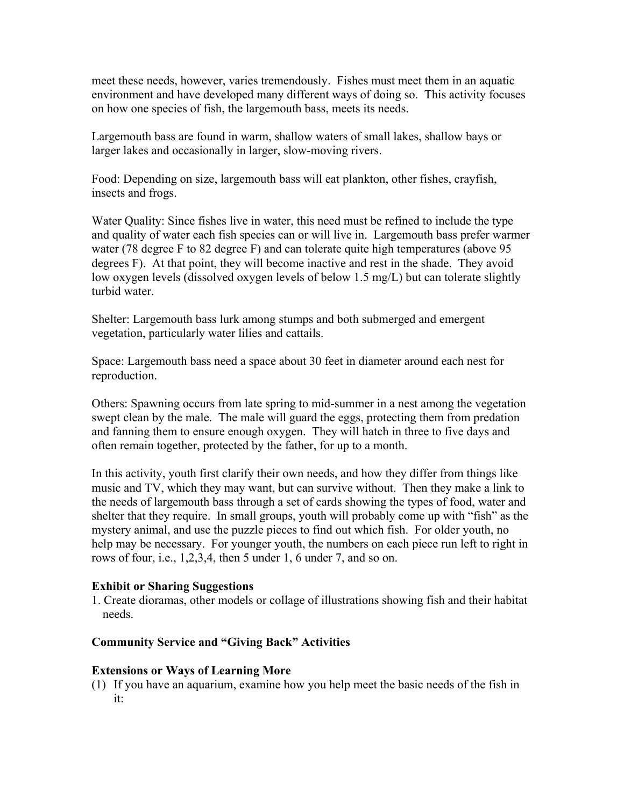meet these needs, however, varies tremendously. Fishes must meet them in an aquatic environment and have developed many different ways of doing so. This activity focuses on how one species of fish, the largemouth bass, meets its needs.

Largemouth bass are found in warm, shallow waters of small lakes, shallow bays or larger lakes and occasionally in larger, slow-moving rivers.

Food: Depending on size, largemouth bass will eat plankton, other fishes, crayfish, insects and frogs.

Water Quality: Since fishes live in water, this need must be refined to include the type and quality of water each fish species can or will live in. Largemouth bass prefer warmer water (78 degree F to 82 degree F) and can tolerate quite high temperatures (above 95 degrees F). At that point, they will become inactive and rest in the shade. They avoid low oxygen levels (dissolved oxygen levels of below 1.5 mg/L) but can tolerate slightly turbid water.

Shelter: Largemouth bass lurk among stumps and both submerged and emergent vegetation, particularly water lilies and cattails.

Space: Largemouth bass need a space about 30 feet in diameter around each nest for reproduction.

Others: Spawning occurs from late spring to mid-summer in a nest among the vegetation swept clean by the male. The male will guard the eggs, protecting them from predation and fanning them to ensure enough oxygen. They will hatch in three to five days and often remain together, protected by the father, for up to a month.

In this activity, youth first clarify their own needs, and how they differ from things like music and TV, which they may want, but can survive without. Then they make a link to the needs of largemouth bass through a set of cards showing the types of food, water and shelter that they require. In small groups, youth will probably come up with "fish" as the mystery animal, and use the puzzle pieces to find out which fish. For older youth, no help may be necessary. For younger youth, the numbers on each piece run left to right in rows of four, i.e., 1,2,3,4, then 5 under 1, 6 under 7, and so on.

# **Exhibit or Sharing Suggestions**

1. Create dioramas, other models or collage of illustrations showing fish and their habitat needs.

# **Community Service and "Giving Back" Activities**

# **Extensions or Ways of Learning More**

(1) If you have an aquarium, examine how you help meet the basic needs of the fish in it: